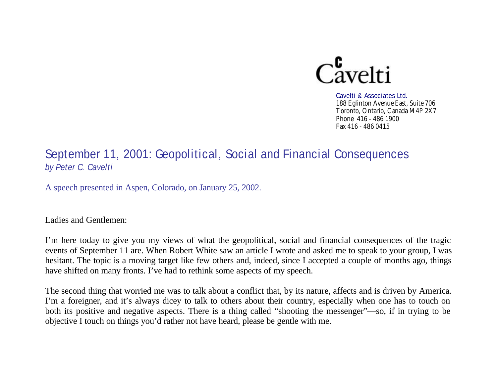

Cavelti & Associates Ltd. 188 Eglinton Avenue East, Suite 706 Toronto, Ontario, Canada M4P 2X7 Phone 416 - 486 1900 Fax 416 - 486 0415

# September 11, 2001: Geopolitical, Social and Financial Consequences *by Peter C. Cavelti*

A speech presented in Aspen, Colorado, on January 25, 2002.

Ladies and Gentlemen:

I'm here today to give you my views of what the geopolitical, social and financial consequences of the tragic events of September 11 are. When Robert White saw an article I wrote and asked me to speak to your group, I was hesitant. The topic is a moving target like few others and, indeed, since I accepted a couple of months ago, things have shifted on many fronts. I've had to rethink some aspects of my speech.

The second thing that worried me was to talk about a conflict that, by its nature, affects and is driven by America. I'm a foreigner, and it's always dicey to talk to others about their country, especially when one has to touch on both its positive and negative aspects. There is a thing called "shooting the messenger"—so, if in trying to be objective I touch on things you'd rather not have heard, please be gentle with me.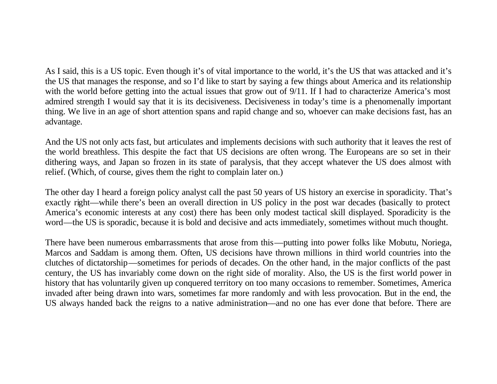As I said, this is a US topic. Even though it's of vital importance to the world, it's the US that was attacked and it's the US that manages the response, and so I'd like to start by saying a few things about America and its relationship with the world before getting into the actual issues that grow out of 9/11. If I had to characterize America's most admired strength I would say that it is its decisiveness. Decisiveness in today's time is a phenomenally important thing. We live in an age of short attention spans and rapid change and so, whoever can make decisions fast, has an advantage.

And the US not only acts fast, but articulates and implements decisions with such authority that it leaves the rest of the world breathless. This despite the fact that US decisions are often wrong. The Europeans are so set in their dithering ways, and Japan so frozen in its state of paralysis, that they accept whatever the US does almost with relief. (Which, of course, gives them the right to complain later on.)

The other day I heard a foreign policy analyst call the past 50 years of US history an exercise in sporadicity. That's exactly right—while there's been an overall direction in US policy in the post war decades (basically to protect America's economic interests at any cost) there has been only modest tactical skill displayed. Sporadicity is the word—the US is sporadic, because it is bold and decisive and acts immediately, sometimes without much thought.

There have been numerous embarrassments that arose from this—putting into power folks like Mobutu, Noriega, Marcos and Saddam is among them. Often, US decisions have thrown millions in third world countries into the clutches of dictatorship—sometimes for periods of decades. On the other hand, in the major conflicts of the past century, the US has invariably come down on the right side of morality. Also, the US is the first world power in history that has voluntarily given up conquered territory on too many occasions to remember. Sometimes, America invaded after being drawn into wars, sometimes far more randomly and with less provocation. But in the end, the US always handed back the reigns to a native administration—and no one has ever done that before. There are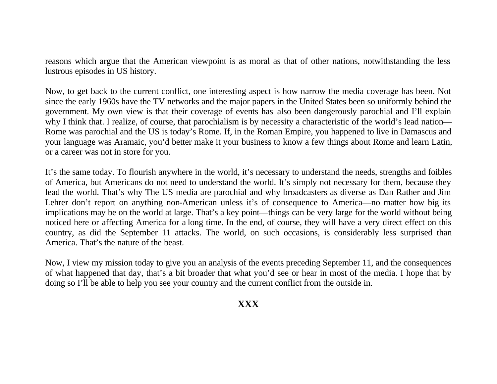reasons which argue that the American viewpoint is as moral as that of other nations, notwithstanding the less lustrous episodes in US history.

Now, to get back to the current conflict, one interesting aspect is how narrow the media coverage has been. Not since the early 1960s have the TV networks and the major papers in the United States been so uniformly behind the government. My own view is that their coverage of events has also been dangerously parochial and I'll explain why I think that. I realize, of course, that parochialism is by necessity a characteristic of the world's lead nation— Rome was parochial and the US is today's Rome. If, in the Roman Empire, you happened to live in Damascus and your language was Aramaic, you'd better make it your business to know a few things about Rome and learn Latin, or a career was not in store for you.

It's the same today. To flourish anywhere in the world, it's necessary to understand the needs, strengths and foibles of America, but Americans do not need to understand the world. It's simply not necessary for them, because they lead the world. That's why The US media are parochial and why broadcasters as diverse as Dan Rather and Jim Lehrer don't report on anything non-American unless it's of consequence to America—no matter how big its implications may be on the world at large. That's a key point—things can be very large for the world without being noticed here or affecting America for a long time. In the end, of course, they will have a very direct effect on this country, as did the September 11 attacks. The world, on such occasions, is considerably less surprised than America. That's the nature of the beast.

Now, I view my mission today to give you an analysis of the events preceding September 11, and the consequences of what happened that day, that's a bit broader that what you'd see or hear in most of the media. I hope that by doing so I'll be able to help you see your country and the current conflict from the outside in.

## **XXX**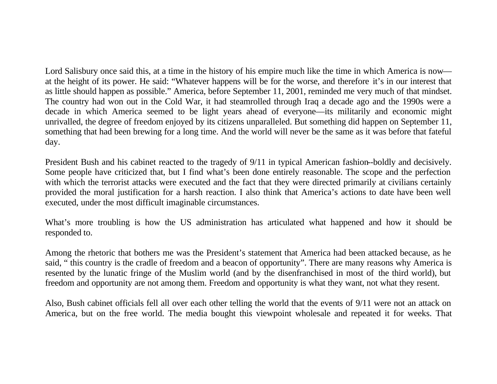Lord Salisbury once said this, at a time in the history of his empire much like the time in which America is now at the height of its power. He said: "Whatever happens will be for the worse, and therefore it's in our interest that as little should happen as possible." America, before September 11, 2001, reminded me very much of that mindset. The country had won out in the Cold War, it had steamrolled through Iraq a decade ago and the 1990s were a decade in which America seemed to be light years ahead of everyone—its militarily and economic might unrivalled, the degree of freedom enjoyed by its citizens unparalleled. But something did happen on September 11, something that had been brewing for a long time. And the world will never be the same as it was before that fateful day.

President Bush and his cabinet reacted to the tragedy of 9/11 in typical American fashion--boldly and decisively. Some people have criticized that, but I find what's been done entirely reasonable. The scope and the perfection with which the terrorist attacks were executed and the fact that they were directed primarily at civilians certainly provided the moral justification for a harsh reaction. I also think that America's actions to date have been well executed, under the most difficult imaginable circumstances.

What's more troubling is how the US administration has articulated what happened and how it should be responded to.

Among the rhetoric that bothers me was the President's statement that America had been attacked because, as he said, " this country is the cradle of freedom and a beacon of opportunity". There are many reasons why America is resented by the lunatic fringe of the Muslim world (and by the disenfranchised in most of the third world), but freedom and opportunity are not among them. Freedom and opportunity is what they want, not what they resent.

Also, Bush cabinet officials fell all over each other telling the world that the events of 9/11 were not an attack on America, but on the free world. The media bought this viewpoint wholesale and repeated it for weeks. That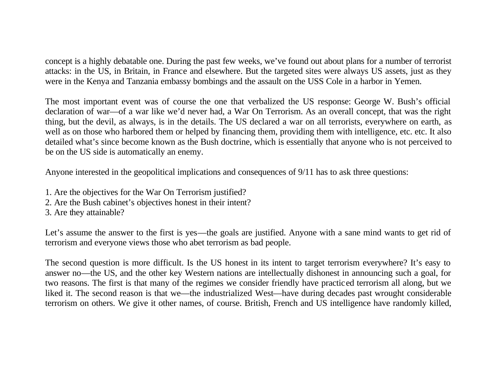concept is a highly debatable one. During the past few weeks, we've found out about plans for a number of terrorist attacks: in the US, in Britain, in France and elsewhere. But the targeted sites were always US assets, just as they were in the Kenya and Tanzania embassy bombings and the assault on the USS Cole in a harbor in Yemen.

The most important event was of course the one that verbalized the US response: George W. Bush's official declaration of war—of a war like we'd never had, a War On Terrorism. As an overall concept, that was the right thing, but the devil, as always, is in the details. The US declared a war on all terrorists, everywhere on earth, as well as on those who harbored them or helped by financing them, providing them with intelligence, etc. etc. It also detailed what's since become known as the Bush doctrine, which is essentially that anyone who is not perceived to be on the US side is automatically an enemy.

Anyone interested in the geopolitical implications and consequences of 9/11 has to ask three questions:

- 1. Are the objectives for the War On Terrorism justified?
- 2. Are the Bush cabinet's objectives honest in their intent?
- 3. Are they attainable?

Let's assume the answer to the first is yes—the goals are justified. Anyone with a sane mind wants to get rid of terrorism and everyone views those who abet terrorism as bad people.

The second question is more difficult. Is the US honest in its intent to target terrorism everywhere? It's easy to answer no—the US, and the other key Western nations are intellectually dishonest in announcing such a goal, for two reasons. The first is that many of the regimes we consider friendly have practiced terrorism all along, but we liked it. The second reason is that we—the industrialized West—have during decades past wrought considerable terrorism on others. We give it other names, of course. British, French and US intelligence have randomly killed,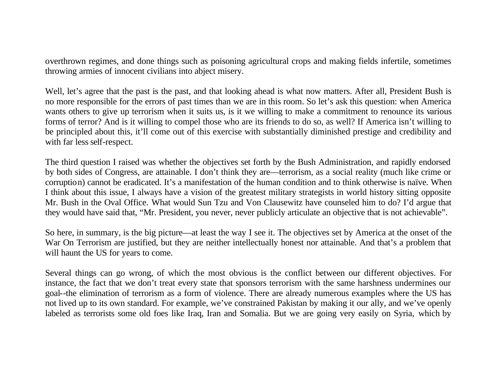overthrown regimes, and done things such as poisoning agricultural crops and making fields infertile, sometimes throwing armies of innocent civilians into abject misery.

Well, let's agree that the past is the past, and that looking ahead is what now matters. After all, President Bush is no more responsible for the errors of past times than we are in this room. So let's ask this question: when America wants others to give up terrorism when it suits us, is it we willing to make a commitment to renounce its various forms of terror? And is it willing to compel those who are its friends to do so, as well? If America isn't willing to be principled about this, it'll come out of this exercise with substantially diminished prestige and credibility and with far less self-respect.

The third question I raised was whether the objectives set forth by the Bush Administration, and rapidly endorsed by both sides of Congress, are attainable. I don't think they are—terrorism, as a social reality (much like crime or corruption) cannot be eradicated. It's a manifestation of the human condition and to think otherwise is naïve. When I think about this issue, I always have a vision of the greatest military strategists in world history sitting opposite Mr. Bush in the Oval Office. What would Sun Tzu and Von Clausewitz have counseled him to do? I'd argue that they would have said that, "Mr. President, you never, never publicly articulate an objective that is not achievable".

So here, in summary, is the big picture—at least the way I see it. The objectives set by America at the onset of the War On Terrorism are justified, but they are neither intellectually honest nor attainable. And that's a problem that will haunt the US for years to come.

Several things can go wrong, of which the most obvious is the conflict between our different objectives. For instance, the fact that we don't treat every state that sponsors terrorism with the same harshness undermines our goal--the elimination of terrorism as a form of violence. There are already numerous examples where the US has not lived up to its own standard. For example, we've constrained Pakistan by making it our ally, and we've openly labeled as terrorists some old foes like Iraq, Iran and Somalia. But we are going very easily on Syria, which by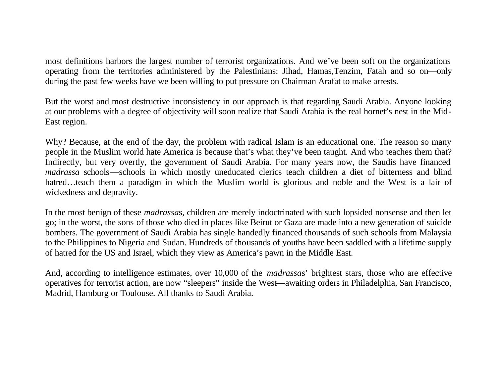most definitions harbors the largest number of terrorist organizations. And we've been soft on the organizations operating from the territories administered by the Palestinians: Jihad, Hamas,Tenzim, Fatah and so on—only during the past few weeks have we been willing to put pressure on Chairman Arafat to make arrests.

But the worst and most destructive inconsistency in our approach is that regarding Saudi Arabia. Anyone looking at our problems with a degree of objectivity will soon realize that Saudi Arabia is the real hornet's nest in the Mid-East region.

Why? Because, at the end of the day, the problem with radical Islam is an educational one. The reason so many people in the Muslim world hate America is because that's what they've been taught. And who teaches them that? Indirectly, but very overtly, the government of Saudi Arabia. For many years now, the Saudis have financed *madrassa* schools—schools in which mostly uneducated clerics teach children a diet of bitterness and blind hatred…teach them a paradigm in which the Muslim world is glorious and noble and the West is a lair of wickedness and depravity.

In the most benign of these *madrassa*s, children are merely indoctrinated with such lopsided nonsense and then let go; in the worst, the sons of those who died in places like Beirut or Gaza are made into a new generation of suicide bombers. The government of Saudi Arabia has single handedly financed thousands of such schools from Malaysia to the Philippines to Nigeria and Sudan. Hundreds of thousands of youths have been saddled with a lifetime supply of hatred for the US and Israel, which they view as America's pawn in the Middle East.

And, according to intelligence estimates, over 10,000 of the *madrassa*s' brightest stars, those who are effective operatives for terrorist action, are now "sleepers" inside the West—awaiting orders in Philadelphia, San Francisco, Madrid, Hamburg or Toulouse. All thanks to Saudi Arabia.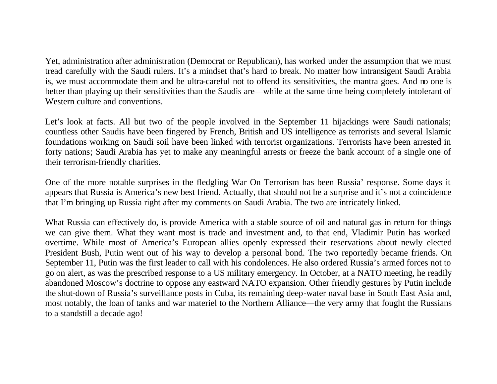Yet, administration after administration (Democrat or Republican), has worked under the assumption that we must tread carefully with the Saudi rulers. It's a mindset that's hard to break. No matter how intransigent Saudi Arabia is, we must accommodate them and be ultra-careful not to offend its sensitivities, the mantra goes. And no one is better than playing up their sensitivities than the Saudis are—while at the same time being completely intolerant of Western culture and conventions.

Let's look at facts. All but two of the people involved in the September 11 hijackings were Saudi nationals; countless other Saudis have been fingered by French, British and US intelligence as terrorists and several Islamic foundations working on Saudi soil have been linked with terrorist organizations. Terrorists have been arrested in forty nations; Saudi Arabia has yet to make any meaningful arrests or freeze the bank account of a single one of their terrorism-friendly charities.

One of the more notable surprises in the fledgling War On Terrorism has been Russia' response. Some days it appears that Russia is America's new best friend. Actually, that should not be a surprise and it's not a coincidence that I'm bringing up Russia right after my comments on Saudi Arabia. The two are intricately linked.

What Russia can effectively do, is provide America with a stable source of oil and natural gas in return for things we can give them. What they want most is trade and investment and, to that end, Vladimir Putin has worked overtime. While most of America's European allies openly expressed their reservations about newly elected President Bush, Putin went out of his way to develop a personal bond. The two reportedly became friends. On September 11, Putin was the first leader to call with his condolences. He also ordered Russia's armed forces not to go on alert, as was the prescribed response to a US military emergency. In October, at a NATO meeting, he readily abandoned Moscow's doctrine to oppose any eastward NATO expansion. Other friendly gestures by Putin include the shut-down of Russia's surveillance posts in Cuba, its remaining deep-water naval base in South East Asia and, most notably, the loan of tanks and war materiel to the Northern Alliance—the very army that fought the Russians to a standstill a decade ago!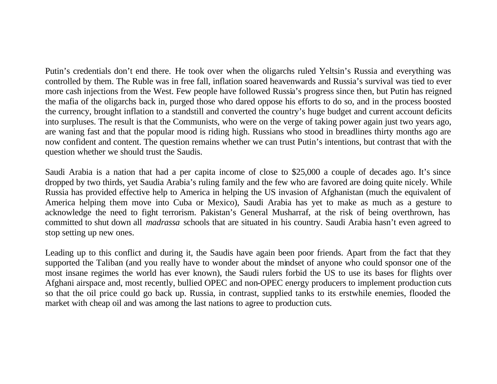Putin's credentials don't end there. He took over when the oligarchs ruled Yeltsin's Russia and everything was controlled by them. The Ruble was in free fall, inflation soared heavenwards and Russia's survival was tied to ever more cash injections from the West. Few people have followed Russia's progress since then, but Putin has reigned the mafia of the oligarchs back in, purged those who dared oppose his efforts to do so, and in the process boosted the currency, brought inflation to a standstill and converted the country's huge budget and current account deficits into surpluses. The result is that the Communists, who were on the verge of taking power again just two years ago, are waning fast and that the popular mood is riding high. Russians who stood in breadlines thirty months ago are now confident and content. The question remains whether we can trust Putin's intentions, but contrast that with the question whether we should trust the Saudis.

Saudi Arabia is a nation that had a per capita income of close to \$25,000 a couple of decades ago. It's since dropped by two thirds, yet Saudia Arabia's ruling family and the few who are favored are doing quite nicely. While Russia has provided effective help to America in helping the US invasion of Afghanistan (much the equivalent of America helping them move into Cuba or Mexico), Saudi Arabia has yet to make as much as a gesture to acknowledge the need to fight terrorism. Pakistan's General Musharraf, at the risk of being overthrown, has committed to shut down all *madrassa* schools that are situated in his country. Saudi Arabia hasn't even agreed to stop setting up new ones.

Leading up to this conflict and during it, the Saudis have again been poor friends. Apart from the fact that they supported the Taliban (and you really have to wonder about the mindset of anyone who could sponsor one of the most insane regimes the world has ever known), the Saudi rulers forbid the US to use its bases for flights over Afghani airspace and, most recently, bullied OPEC and non-OPEC energy producers to implement production cuts so that the oil price could go back up. Russia, in contrast, supplied tanks to its erstwhile enemies, flooded the market with cheap oil and was among the last nations to agree to production cuts.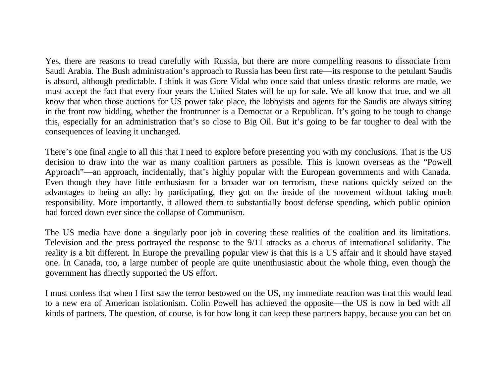Yes, there are reasons to tread carefully with Russia, but there are more compelling reasons to dissociate from Saudi Arabia. The Bush administration's approach to Russia has been first rate—its response to the petulant Saudis is absurd, although predictable. I think it was Gore Vidal who once said that unless drastic reforms are made, we must accept the fact that every four years the United States will be up for sale. We all know that true, and we all know that when those auctions for US power take place, the lobbyists and agents for the Saudis are always sitting in the front row bidding, whether the frontrunner is a Democrat or a Republican. It's going to be tough to change this, especially for an administration that's so close to Big Oil. But it's going to be far tougher to deal with the consequences of leaving it unchanged.

There's one final angle to all this that I need to explore before presenting you with my conclusions. That is the US decision to draw into the war as many coalition partners as possible. This is known overseas as the "Powell Approach"—an approach, incidentally, that's highly popular with the European governments and with Canada. Even though they have little enthusiasm for a broader war on terrorism, these nations quickly seized on the advantages to being an ally: by participating, they got on the inside of the movement without taking much responsibility. More importantly, it allowed them to substantially boost defense spending, which public opinion had forced down ever since the collapse of Communism.

The US media have done a singularly poor job in covering these realities of the coalition and its limitations. Television and the press portrayed the response to the 9/11 attacks as a chorus of international solidarity. The reality is a bit different. In Europe the prevailing popular view is that this is a US affair and it should have stayed one. In Canada, too, a large number of people are quite unenthusiastic about the whole thing, even though the government has directly supported the US effort.

I must confess that when I first saw the terror bestowed on the US, my immediate reaction was that this would lead to a new era of American isolationism. Colin Powell has achieved the opposite—the US is now in bed with all kinds of partners. The question, of course, is for how long it can keep these partners happy, because you can bet on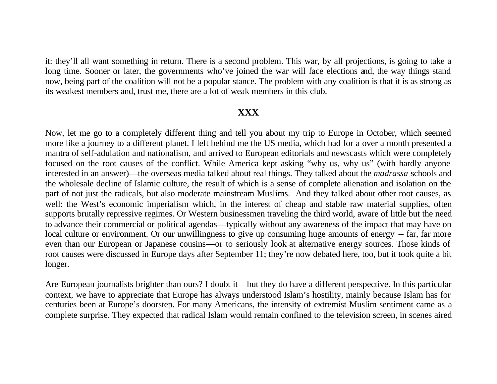it: they'll all want something in return. There is a second problem. This war, by all projections, is going to take a long time. Sooner or later, the governments who've joined the war will face elections and, the way things stand now, being part of the coalition will not be a popular stance. The problem with any coalition is that it is as strong as its weakest members and, trust me, there are a lot of weak members in this club.

#### **XXX**

Now, let me go to a completely different thing and tell you about my trip to Europe in October, which seemed more like a journey to a different planet. I left behind me the US media, which had for a over a month presented a mantra of self-adulation and nationalism, and arrived to European editorials and newscasts which were completely focused on the root causes of the conflict. While America kept asking "why us, why us" (with hardly anyone interested in an answer)—the overseas media talked about real things. They talked about the *madrassa* schools and the wholesale decline of Islamic culture, the result of which is a sense of complete alienation and isolation on the part of not just the radicals, but also moderate mainstream Muslims. And they talked about other root causes, as well: the West's economic imperialism which, in the interest of cheap and stable raw material supplies, often supports brutally repressive regimes. Or Western businessmen traveling the third world, aware of little but the need to advance their commercial or political agendas—typically without any awareness of the impact that may have on local culture or environment. Or our unwillingness to give up consuming huge amounts of energy -- far, far more even than our European or Japanese cousins—or to seriously look at alternative energy sources. Those kinds of root causes were discussed in Europe days after September 11; they're now debated here, too, but it took quite a bit longer.

Are European journalists brighter than ours? I doubt it—but they do have a different perspective. In this particular context, we have to appreciate that Europe has always understood Islam's hostility, mainly because Islam has for centuries been at Europe's doorstep. For many Americans, the intensity of extremist Muslim sentiment came as a complete surprise. They expected that radical Islam would remain confined to the television screen, in scenes aired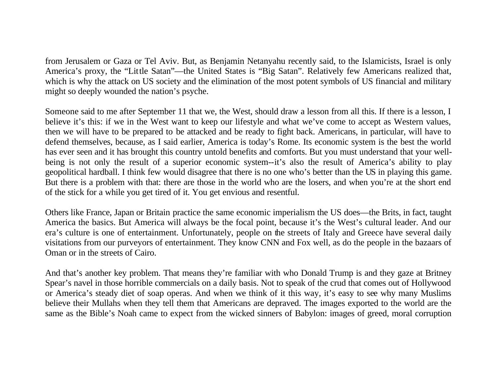from Jerusalem or Gaza or Tel Aviv. But, as Benjamin Netanyahu recently said, to the Islamicists, Israel is only America's proxy, the "Little Satan"—the United States is "Big Satan". Relatively few Americans realized that, which is why the attack on US society and the elimination of the most potent symbols of US financial and military might so deeply wounded the nation's psyche.

Someone said to me after September 11 that we, the West, should draw a lesson from all this. If there is a lesson, I believe it's this: if we in the West want to keep our lifestyle and what we've come to accept as Western values, then we will have to be prepared to be attacked and be ready to fight back. Americans, in particular, will have to defend themselves, because, as I said earlier, America is today's Rome. Its economic system is the best the world has ever seen and it has brought this country untold benefits and comforts. But you must understand that your wellbeing is not only the result of a superior economic system--it's also the result of America's ability to play geopolitical hardball. I think few would disagree that there is no one who's better than the US in playing this game. But there is a problem with that: there are those in the world who are the losers, and when you're at the short end of the stick for a while you get tired of it. You get envious and resentful.

Others like France, Japan or Britain practice the same economic imperialism the US does—the Brits, in fact, taught America the basics. But America will always be the focal point, because it's the West's cultural leader. And our era's culture is one of entertainment. Unfortunately, people on the streets of Italy and Greece have several daily visitations from our purveyors of entertainment. They know CNN and Fox well, as do the people in the bazaars of Oman or in the streets of Cairo.

And that's another key problem. That means they're familiar with who Donald Trump is and they gaze at Britney Spear's navel in those horrible commercials on a daily basis. Not to speak of the crud that comes out of Hollywood or America's steady diet of soap operas. And when we think of it this way, it's easy to see why many Muslims believe their Mullahs when they tell them that Americans are depraved. The images exported to the world are the same as the Bible's Noah came to expect from the wicked sinners of Babylon: images of greed, moral corruption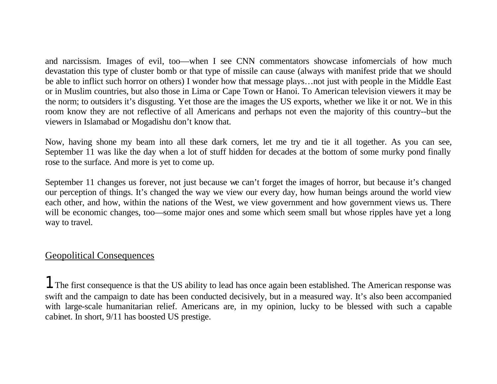and narcissism. Images of evil, too—when I see CNN commentators showcase infomercials of how much devastation this type of cluster bomb or that type of missile can cause (always with manifest pride that we should be able to inflict such horror on others) I wonder how that message plays…not just with people in the Middle East or in Muslim countries, but also those in Lima or Cape Town or Hanoi. To American television viewers it may be the norm; to outsiders it's disgusting. Yet those are the images the US exports, whether we like it or not. We in this room know they are not reflective of all Americans and perhaps not even the majority of this country--but the viewers in Islamabad or Mogadishu don't know that.

Now, having shone my beam into all these dark corners, let me try and tie it all together. As you can see, September 11 was like the day when a lot of stuff hidden for decades at the bottom of some murky pond finally rose to the surface. And more is yet to come up.

September 11 changes us forever, not just because we can't forget the images of horror, but because it's changed our perception of things. It's changed the way we view our every day, how human beings around the world view each other, and how, within the nations of the West, we view government and how government views us. There will be economic changes, too—some major ones and some which seem small but whose ripples have yet a long way to travel.

### Geopolitical Consequences

1. The first consequence is that the US ability to lead has once again been established. The American response was swift and the campaign to date has been conducted decisively, but in a measured way. It's also been accompanied with large-scale humanitarian relief. Americans are, in my opinion, lucky to be blessed with such a capable cabinet. In short, 9/11 has boosted US prestige.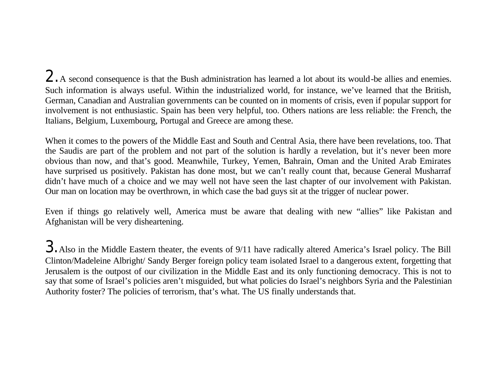2. A second consequence is that the Bush administration has learned a lot about its would-be allies and enemies. Such information is always useful. Within the industrialized world, for instance, we've learned that the British, German, Canadian and Australian governments can be counted on in moments of crisis, even if popular support for involvement is not enthusiastic. Spain has been very helpful, too. Others nations are less reliable: the French, the Italians, Belgium, Luxembourg, Portugal and Greece are among these.

When it comes to the powers of the Middle East and South and Central Asia, there have been revelations, too. That the Saudis are part of the problem and not part of the solution is hardly a revelation, but it's never been more obvious than now, and that's good. Meanwhile, Turkey, Yemen, Bahrain, Oman and the United Arab Emirates have surprised us positively. Pakistan has done most, but we can't really count that, because General Musharraf didn't have much of a choice and we may well not have seen the last chapter of our involvement with Pakistan. Our man on location may be overthrown, in which case the bad guys sit at the trigger of nuclear power.

Even if things go relatively well, America must be aware that dealing with new "allies" like Pakistan and Afghanistan will be very disheartening.

3. Also in the Middle Eastern theater, the events of 9/11 have radically altered America's Israel policy. The Bill Clinton/Madeleine Albright/ Sandy Berger foreign policy team isolated Israel to a dangerous extent, forgetting that Jerusalem is the outpost of our civilization in the Middle East and its only functioning democracy. This is not to say that some of Israel's policies aren't misguided, but what policies do Israel's neighbors Syria and the Palestinian Authority foster? The policies of terrorism, that's what. The US finally understands that.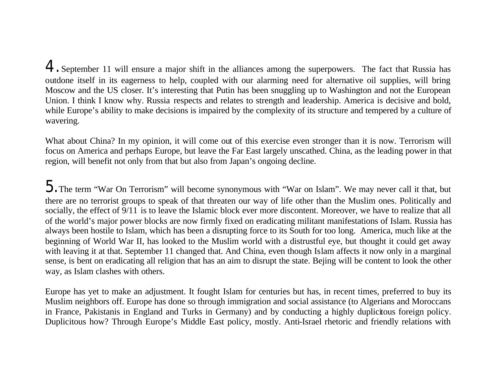4. September 11 will ensure a major shift in the alliances among the superpowers. The fact that Russia has outdone itself in its eagerness to help, coupled with our alarming need for alternative oil supplies, will bring Moscow and the US closer. It's interesting that Putin has been snuggling up to Washington and not the European Union. I think I know why. Russia respects and relates to strength and leadership. America is decisive and bold, while Europe's ability to make decisions is impaired by the complexity of its structure and tempered by a culture of wavering.

What about China? In my opinion, it will come out of this exercise even stronger than it is now. Terrorism will focus on America and perhaps Europe, but leave the Far East largely unscathed. China, as the leading power in that region, will benefit not only from that but also from Japan's ongoing decline.

 $5.$  The term "War On Terrorism" will become synonymous with "War on Islam". We may never call it that, but there are no terrorist groups to speak of that threaten our way of life other than the Muslim ones. Politically and socially, the effect of 9/11 is to leave the Islamic block ever more discontent. Moreover, we have to realize that all of the world's major power blocks are now firmly fixed on eradicating militant manifestations of Islam. Russia has always been hostile to Islam, which has been a disrupting force to its South for too long. America, much like at the beginning of World War II, has looked to the Muslim world with a distrustful eye, but thought it could get away with leaving it at that. September 11 changed that. And China, even though Islam affects it now only in a marginal sense, is bent on eradicating all religion that has an aim to disrupt the state. Bejing will be content to look the other way, as Islam clashes with others.

Europe has yet to make an adjustment. It fought Islam for centuries but has, in recent times, preferred to buy its Muslim neighbors off. Europe has done so through immigration and social assistance (to Algerians and Moroccans in France, Pakistanis in England and Turks in Germany) and by conducting a highly duplicitous foreign policy. Duplicitous how? Through Europe's Middle East policy, mostly. Anti-Israel rhetoric and friendly relations with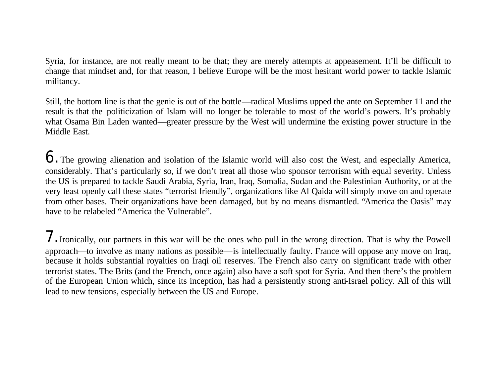Syria, for instance, are not really meant to be that; they are merely attempts at appeasement. It'll be difficult to change that mindset and, for that reason, I believe Europe will be the most hesitant world power to tackle Islamic militancy.

Still, the bottom line is that the genie is out of the bottle—radical Muslims upped the ante on September 11 and the result is that the politicization of Islam will no longer be tolerable to most of the world's powers. It's probably what Osama Bin Laden wanted—greater pressure by the West will undermine the existing power structure in the Middle East.

6. The growing alienation and isolation of the Islamic world will also cost the West, and especially America, considerably. That's particularly so, if we don't treat all those who sponsor terrorism with equal severity. Unless the US is prepared to tackle Saudi Arabia, Syria, Iran, Iraq, Somalia, Sudan and the Palestinian Authority, or at the very least openly call these states "terrorist friendly", organizations like Al Qaida will simply move on and operate from other bases. Their organizations have been damaged, but by no means dismantled. "America the Oasis" may have to be relabeled "America the Vulnerable".

7. Ironically, our partners in this war will be the ones who pull in the wrong direction. That is why the Powell approach—to involve as many nations as possible—is intellectually faulty. France will oppose any move on Iraq, because it holds substantial royalties on Iraqi oil reserves. The French also carry on significant trade with other terrorist states. The Brits (and the French, once again) also have a soft spot for Syria. And then there's the problem of the European Union which, since its inception, has had a persistently strong anti-Israel policy. All of this will lead to new tensions, especially between the US and Europe.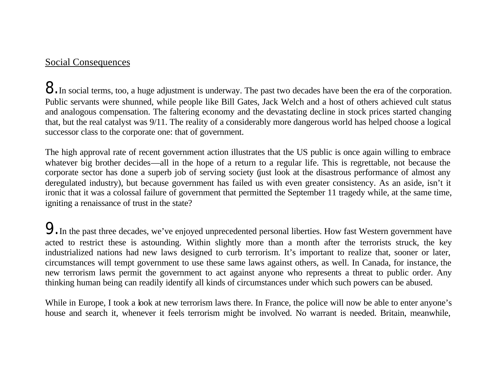### Social Consequences

8. In social terms, too, a huge adjustment is underway. The past two decades have been the era of the corporation. Public servants were shunned, while people like Bill Gates, Jack Welch and a host of others achieved cult status and analogous compensation. The faltering economy and the devastating decline in stock prices started changing that, but the real catalyst was 9/11. The reality of a considerably more dangerous world has helped choose a logical successor class to the corporate one: that of government.

The high approval rate of recent government action illustrates that the US public is once again willing to embrace whatever big brother decides—all in the hope of a return to a regular life. This is regrettable, not because the corporate sector has done a superb job of serving society (just look at the disastrous performance of almost any deregulated industry), but because government has failed us with even greater consistency. As an aside, isn't it ironic that it was a colossal failure of government that permitted the September 11 tragedy while, at the same time, igniting a renaissance of trust in the state?

9. In the past three decades, we've enjoyed unprecedented personal liberties. How fast Western government have acted to restrict these is astounding. Within slightly more than a month after the terrorists struck, the key industrialized nations had new laws designed to curb terrorism. It's important to realize that, sooner or later, circumstances will tempt government to use these same laws against others, as well. In Canada, for instance, the new terrorism laws permit the government to act against anyone who represents a threat to public order. Any thinking human being can readily identify all kinds of circumstances under which such powers can be abused.

While in Europe, I took a look at new terrorism laws there. In France, the police will now be able to enter anyone's house and search it, whenever it feels terrorism might be involved. No warrant is needed. Britain, meanwhile,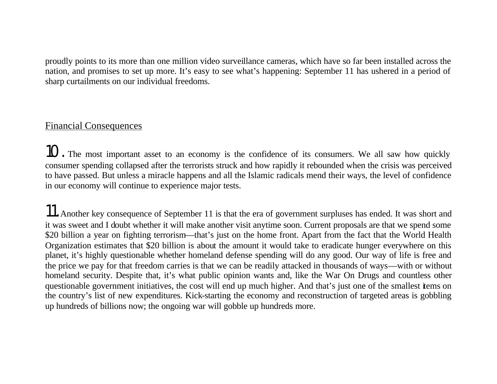proudly points to its more than one million video surveillance cameras, which have so far been installed across the nation, and promises to set up more. It's easy to see what's happening: September 11 has ushered in a period of sharp curtailments on our individual freedoms.

### Financial Consequences

10. The most important asset to an economy is the confidence of its consumers. We all saw how quickly consumer spending collapsed after the terrorists struck and how rapidly it rebounded when the crisis was perceived to have passed. But unless a miracle happens and all the Islamic radicals mend their ways, the level of confidence in our economy will continue to experience major tests.

11. Another key consequence of September 11 is that the era of government surpluses has ended. It was short and it was sweet and I doubt whether it will make another visit anytime soon. Current proposals are that we spend some \$20 billion a year on fighting terrorism—that's just on the home front. Apart from the fact that the World Health Organization estimates that \$20 billion is about the amount it would take to eradicate hunger everywhere on this planet, it's highly questionable whether homeland defense spending will do any good. Our way of life is free and the price we pay for that freedom carries is that we can be readily attacked in thousands of ways—with or without homeland security. Despite that, it's what public opinion wants and, like the War On Drugs and countless other questionable government initiatives, the cost will end up much higher. And that's just one of the smallest items on the country's list of new expenditures. Kick-starting the economy and reconstruction of targeted areas is gobbling up hundreds of billions now; the ongoing war will gobble up hundreds more.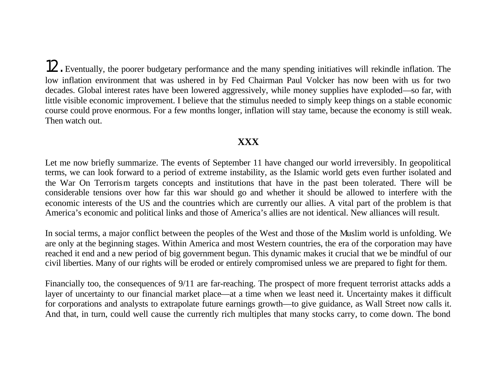12. Eventually, the poorer budgetary performance and the many spending initiatives will rekindle inflation. The low inflation environment that was ushered in by Fed Chairman Paul Volcker has now been with us for two decades. Global interest rates have been lowered aggressively, while money supplies have exploded—so far, with little visible economic improvement. I believe that the stimulus needed to simply keep things on a stable economic course could prove enormous. For a few months longer, inflation will stay tame, because the economy is still weak. Then watch out.

#### **XXX**

Let me now briefly summarize. The events of September 11 have changed our world irreversibly. In geopolitical terms, we can look forward to a period of extreme instability, as the Islamic world gets even further isolated and the War On Terrorism targets concepts and institutions that have in the past been tolerated. There will be considerable tensions over how far this war should go and whether it should be allowed to interfere with the economic interests of the US and the countries which are currently our allies. A vital part of the problem is that America's economic and political links and those of America's allies are not identical. New alliances will result.

In social terms, a major conflict between the peoples of the West and those of the Muslim world is unfolding. We are only at the beginning stages. Within America and most Western countries, the era of the corporation may have reached it end and a new period of big government begun. This dynamic makes it crucial that we be mindful of our civil liberties. Many of our rights will be eroded or entirely compromised unless we are prepared to fight for them.

Financially too, the consequences of 9/11 are far-reaching. The prospect of more frequent terrorist attacks adds a layer of uncertainty to our financial market place—at a time when we least need it. Uncertainty makes it difficult for corporations and analysts to extrapolate future earnings growth—to give guidance, as Wall Street now calls it. And that, in turn, could well cause the currently rich multiples that many stocks carry, to come down. The bond